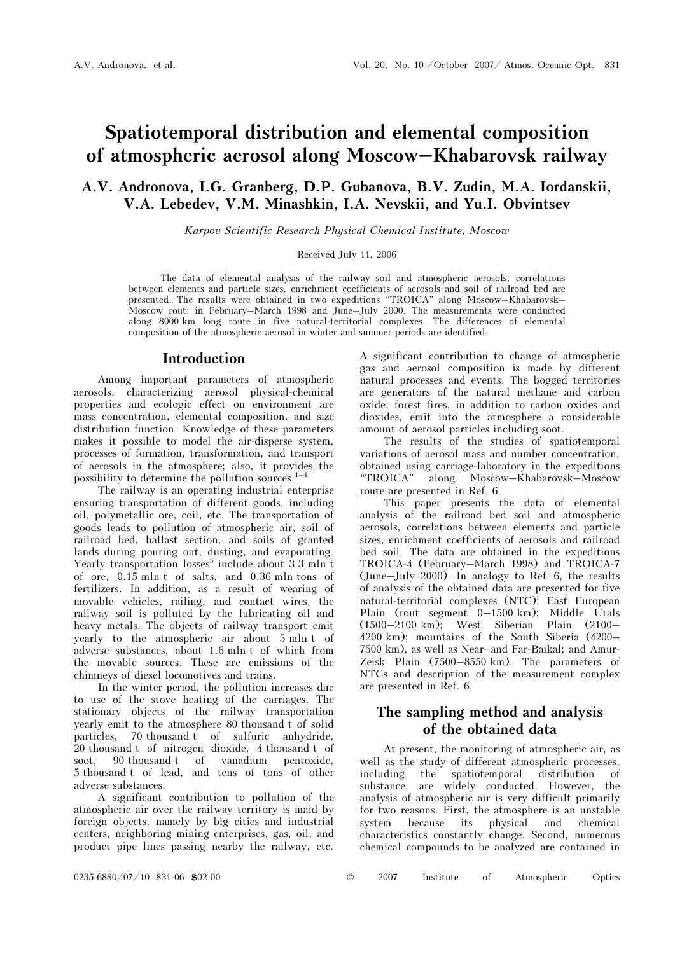# Spatiotemporal distribution and elemental composition of atmospheric aerosol along Moscow–Khabarovsk railway

# A.V. Andronova, I.G. Granberg, D.P. Gubanova, B.V. Zudin, M.A. Iordanskii, V.A. Lebedev, V.M. Minashkin, I.A. Nevskii, and Yu.I. Obvintsev

Karpov Scientific Research Physical Chemical Institute, Moscow

#### Received July 11, 2006

The data of elemental analysis of the railway soil and atmospheric aerosols, correlations between elements and particle sizes, enrichment coefficients of aerosols and soil of railroad bed are presented. The results were obtained in two expeditions "TROICA" along Moscow–Khabarovsk– Moscow rout: in February–March 1998 and June–July 2000. The measurements were conducted along 8000 km long route in five natural-territorial complexes. The differences of elemental composition of the atmospheric aerosol in winter and summer periods are identified.

### Introduction

Among important parameters of atmospheric aerosols, characterizing aerosol physical-chemical properties and ecologic effect on environment are mass concentration, elemental composition, and size distribution function. Knowledge of these parameters makes it possible to model the air-disperse system, processes of formation, transformation, and transport of aerosols in the atmosphere; also, it provides the possibility to determine the pollution sources. $1-4$ 

The railway is an operating industrial enterprise ensuring transportation of different goods, including oil, polymetallic ore, coil, etc. The transportation of goods leads to pollution of atmospheric air, soil of railroad bed, ballast section, and soils of granted lands during pouring out, dusting, and evaporating. Yearly transportation losses<sup>5</sup> include about 3.3 mln t of ore, 0.15 mln t of salts, and 0.36 mln tons of fertilizers. In addition, as a result of wearing of movable vehicles, railing, and contact wires, the railway soil is polluted by the lubricating oil and heavy metals. The objects of railway transport emit yearly to the atmospheric air about 5 mln t of adverse substances, about 1.6 mln t of which from the movable sources. These are emissions of the chimneys of diesel locomotives and trains.

In the winter period, the pollution increases due to use of the stove heating of the carriages. The stationary objects of the railway transportation yearly emit to the atmosphere 80 thousand t of solid particles, 70 thousand t of sulfuric anhydride, 20 thousand t of nitrogen dioxide, 4 thousand t of soot, 90 thousand t of vanadium pentoxide, 5 thousand t of lead, and tens of tons of other adverse substances.

A significant contribution to pollution of the atmospheric air over the railway territory is maid by foreign objects, namely by big cities and industrial centers, neighboring mining enterprises, gas, oil, and product pipe lines passing nearby the railway, etc.

A significant contribution to change of atmospheric gas and aerosol composition is made by different natural processes and events. The bogged territories are generators of the natural methane and carbon oxide; forest fires, in addition to carbon oxides and dioxides, emit into the atmosphere a considerable amount of aerosol particles including soot.

The results of the studies of spatiotemporal variations of aerosol mass and number concentration, obtained using carriage-laboratory in the expeditions "TROICA" along Moscow–Khabarovsk–Moscow route are presented in Ref. 6.

This paper presents the data of elemental analysis of the railroad bed soil and atmospheric aerosols, correlations between elements and particle sizes, enrichment coefficients of aerosols and railroad bed soil. The data are obtained in the expeditions TROICA-4 (February–March 1998) and TROICA-7 (June–July 2000). In analogy to Ref. 6, the results of analysis of the obtained data are presented for five natural-territorial complexes (NTC): East European Plain (rout segment 0–1500 km); Middle Urals (1500–2100 km); West Siberian Plain (2100– 4200 km); mountains of the South Siberia (4200– 7500 km), as well as Near- and Far-Baikal; and Amur-Zeisk Plain (7500–8550 km). The parameters of NTCs and description of the measurement complex are presented in Ref. 6.

# The sampling method and analysis of the obtained data

At present, the monitoring of atmospheric air, as well as the study of different atmospheric processes, including the spatiotemporal distribution of substance, are widely conducted. However, the analysis of atmospheric air is very difficult primarily for two reasons. First, the atmosphere is an unstable system because its physical and chemical characteristics constantly change. Second, numerous chemical compounds to be analyzed are contained in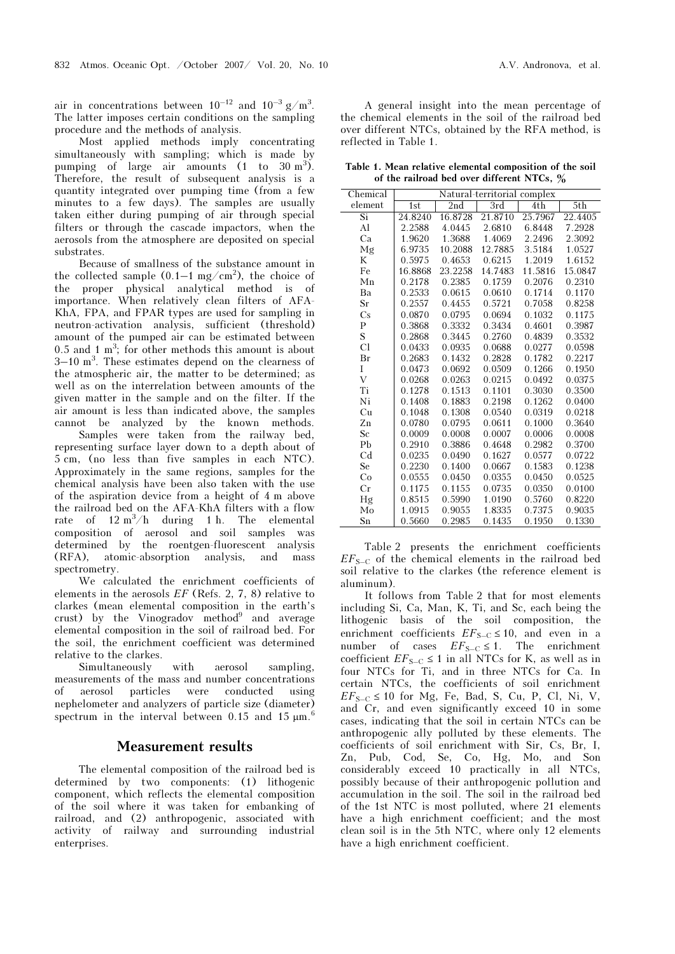air in concentrations between  $10^{-12}$  and  $10^{-3}$  g/m<sup>3</sup>. The latter imposes certain conditions on the sampling procedure and the methods of analysis.

Most applied methods imply concentrating simultaneously with sampling; which is made by pumping of large air amounts  $(1 \text{ to } 30 \text{ m}^3)$ . Therefore, the result of subsequent analysis is a quantity integrated over pumping time (from a few minutes to a few days). The samples are usually taken either during pumping of air through special filters or through the cascade impactors, when the aerosols from the atmosphere are deposited on special substrates.

Because of smallness of the substance amount in the collected sample  $(0.1-1 \text{ mg/cm}^2)$ , the choice of the proper physical analytical method is of importance. When relatively clean filters of ÀFÀ-KhA, FPA, and FPAR types are used for sampling in neutron-activation analysis, sufficient (threshold) amount of the pumped air can be estimated between  $0.5$  and  $1 \text{ m}^3$ ; for other methods this amount is about  $3-10$  m<sup>3</sup>. These estimates depend on the clearness of the atmospheric air, the matter to be determined; as well as on the interrelation between amounts of the given matter in the sample and on the filter. If the air amount is less than indicated above, the samples cannot be analyzed by the known methods.

 Samples were taken from the railway bed, representing surface layer down to a depth about of 5 cm, (no less than five samples in each NTC). Approximately in the same regions, samples for the chemical analysis have been also taken with the use of the aspiration device from a height of 4 m above the railroad bed on the AFA-KhA filters with a flow rate of  $12 \text{ m}^3/\text{h}$  during 1 h. The elemental composition of aerosol and soil samples was determined by the roentgen-fluorescent analysis (RFA), atomic-absorption analysis, and mass spectrometry.

We calculated the enrichment coefficients of elements in the aerosols EF (Refs. 2, 7, 8) relative to clarkes (mean elemental composition in the earth's crust) by the Vinogradov  $method<sup>9</sup>$  and average elemental composition in the soil of railroad bed. For the soil, the enrichment coefficient was determined relative to the clarkes.

Simultaneously with aerosol sampling, measurements of the mass and number concentrations of aerosol particles were conducted using nephelometer and analyzers of particle size (diameter) spectrum in the interval between 0.15 and 15  $\mu$ m.<sup>6</sup>

### Measurement results

The elemental composition of the railroad bed is determined by two components: (1) lithogenic component, which reflects the elemental composition of the soil where it was taken for embanking of railroad, and (2) anthropogenic, associated with activity of railway and surrounding industrial enterprises.

A general insight into the mean percentage of the chemical elements in the soil of the railroad bed over different NTCs, obtained by the RFA method, is reflected in Table 1.

Table 1. Mean relative elemental composition of the soil of the railroad bed over different NTCs, %

| Chemical               | Natural-territorial complex |         |         |         |         |  |  |  |  |
|------------------------|-----------------------------|---------|---------|---------|---------|--|--|--|--|
| element                | 1st                         | 2nd     | 3rd     | 4th     | 5th     |  |  |  |  |
| $\overline{\text{Si}}$ | 24.8240                     | 16.8728 | 21.8710 | 25.7967 | 22.4405 |  |  |  |  |
| Al                     | 2.2588                      | 4.0445  | 2.6810  | 6.8448  | 7.2928  |  |  |  |  |
| Ca                     | 1.9620                      | 1.3688  | 1.4069  | 2.2496  | 2.3092  |  |  |  |  |
| Mg                     | 6.9735                      | 10.2088 | 12.7885 | 3.5184  | 1.0527  |  |  |  |  |
| K                      | 0.5975                      | 0.4653  | 0.6215  | 1.2019  | 1.6152  |  |  |  |  |
| Fe                     | 16.8868                     | 23.2258 | 14.7483 | 11.5816 | 15.0847 |  |  |  |  |
| Mn                     | 0.2178                      | 0.2385  | 0.1759  | 0.2076  | 0.2310  |  |  |  |  |
| Ba                     | 0.2533                      | 0.0615  | 0.0610  | 0.1714  | 0.1170  |  |  |  |  |
| Sr                     | 0.2557                      | 0.4455  | 0.5721  | 0.7058  | 0.8258  |  |  |  |  |
| $\mathbf{C}\mathbf{s}$ | 0.0870                      | 0.0795  | 0.0694  | 0.1032  | 0.1175  |  |  |  |  |
| $\mathbf{P}$           | 0.3868                      | 0.3332  | 0.3434  | 0.4601  | 0.3987  |  |  |  |  |
| S                      | 0.2868                      | 0.3445  | 0.2760  | 0.4839  | 0.3532  |  |  |  |  |
| Cl                     | 0.0433                      | 0.0935  | 0.0688  | 0.0277  | 0.0598  |  |  |  |  |
| Br                     | 0.2683                      | 0.1432  | 0.2828  | 0.1782  | 0.2217  |  |  |  |  |
| T                      | 0.0473                      | 0.0692  | 0.0509  | 0.1266  | 0.1950  |  |  |  |  |
| $\bar{\mathrm{V}}$     | 0.0268                      | 0.0263  | 0.0215  | 0.0492  | 0.0375  |  |  |  |  |
| Ti                     | 0.1278                      | 0.1513  | 0.1101  | 0.3030  | 0.3500  |  |  |  |  |
| Ni                     | 0.1408                      | 0.1883  | 0.2198  | 0.1262  | 0.0400  |  |  |  |  |
| Cu                     | 0.1048                      | 0.1308  | 0.0540  | 0.0319  | 0.0218  |  |  |  |  |
| Zn                     | 0.0780                      | 0.0795  | 0.0611  | 0.1000  | 0.3640  |  |  |  |  |
| <b>Sc</b>              | 0.0009                      | 0.0008  | 0.0007  | 0.0006  | 0.0008  |  |  |  |  |
| Pb                     | 0.2910                      | 0.3886  | 0.4648  | 0.2982  | 0.3700  |  |  |  |  |
| C <sub>d</sub>         | 0.0235                      | 0.0490  | 0.1627  | 0.0577  | 0.0722  |  |  |  |  |
| <b>Se</b>              | 0.2230                      | 0.1400  | 0.0667  | 0.1583  | 0.1238  |  |  |  |  |
| Co                     | 0.0555                      | 0.0450  | 0.0355  | 0.0450  | 0.0525  |  |  |  |  |
| Cr                     | 0.1175                      | 0.1155  | 0.0735  | 0.0350  | 0.0100  |  |  |  |  |
| Hg                     | 0.8515                      | 0.5990  | 1.0190  | 0.5760  | 0.8220  |  |  |  |  |
| Mo                     | 1.0915                      | 0.9055  | 1.8335  | 0.7375  | 0.9035  |  |  |  |  |
| Sn                     | 0.5660                      | 0.2985  | 0.1435  | 0.1950  | 0.1330  |  |  |  |  |

Table 2 presents the enrichment coefficients  $EF_{S-C}$  of the chemical elements in the railroad bed soil relative to the clarkes (the reference element is aluminum).

It follows from Table 2 that for most elements including Si, Ca, Man, K, Ti, and Sc, each being the lithogenic basis of the soil composition, the enrichment coefficients  $EF_{S-C} \le 10$ , and even in a number of cases  $EF_{S-C} \le 1$ . The enrichment coefficient  $EF_{S-C} \le 1$  in all NTCs for K, as well as in four NTCs for Ti, and in three NTCs for Ca. In certain NTCs, the coefficients of soil enrichment  $EF_{S-C} \le 10$  for Mg, Fe, Bad, S, Cu, P, Cl, Ni, V, and Cr, and even significantly exceed 10 in some cases, indicating that the soil in certain NTCs can be anthropogenic ally polluted by these elements. The coefficients of soil enrichment with Sir, Cs, Br, I, Zn, Pub, Cod, Se, Co, Hg, Mo, and Son considerably exceed 10 practically in all NTCs, possibly because of their anthropogenic pollution and accumulation in the soil. The soil in the railroad bed of the 1st NTC is most polluted, where 21 elements have a high enrichment coefficient; and the most clean soil is in the 5th NTC, where only 12 elements have a high enrichment coefficient.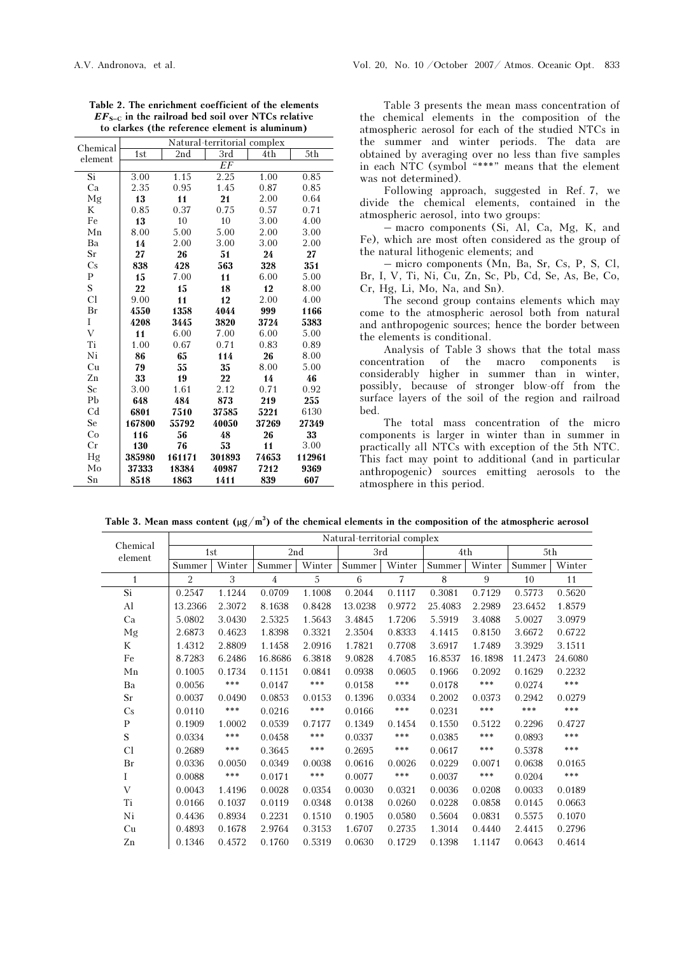| Chemical       |        |        | Natural-territorial complex |       |                   |
|----------------|--------|--------|-----------------------------|-------|-------------------|
| element        | 1st    | 2nd    | $\overline{3}rd$            | 4th   | $\overline{5}$ th |
|                |        |        | EF                          |       |                   |
| Si             | 3.00   | 1.15   | 2.25                        | 1.00  | 0.85              |
| Ca             | 2.35   | 0.95   | 1.45                        | 0.87  | 0.85              |
| Mg             | 13     | 11     | 21                          | 2.00  | 0.64              |
| K              | 0.85   | 0.37   | 0.75                        | 0.57  | 0.71              |
| Fe             | 13     | 10     | 10                          | 3.00  | 4.00              |
| Mn             | 8.00   | 5.00   | 5.00                        | 2.00  | 3.00              |
| Ba             | 14     | 2.00   | 3.00                        | 3.00  | 2.00              |
| Sr             | 27     | 26     | 51                          | 24    | 27                |
| Cs             | 838    | 428    | 563                         | 328   | 351               |
| P              | 15     | 7.00   | 11                          | 6.00  | 5.00              |
| ${\bf S}$      | 22     | 15     | 18                          | 12    | 8.00              |
| Cl             | 9.00   | 11     | 12                          | 2.00  | 4.00              |
| Br             | 4550   | 1358   | 4044                        | 999   | 1166              |
| I              | 4208   | 3445   | 3820                        | 3724  | 5383              |
| $\overline{V}$ | 11     | 6.00   | 7.00                        | 6.00  | 5.00              |
| Ti             | 1.00   | 0.67   | 0.71                        | 0.83  | 0.89              |
| Ni             | 86     | 65     | 114                         | 26    | 8.00              |
| Cu             | 79     | 55     | 35                          | 8.00  | 5.00              |
| Zn             | 33     | 19     | 22                          | 14    | 46                |
| Sc             | 3.00   | 1.61   | 2.12                        | 0.71  | 0.92              |
| Pb             | 648    | 484    | 873                         | 219   | 255               |
| Cd             | 6801   | 7510   | 37585                       | 5221  | 6130              |
| Se             | 167800 | 55792  | 40050                       | 37269 | 27349             |
| Co             | 116    | 56     | 48                          | 26    | 33                |
| $_{\rm Cr}$    | 130    | 76     | 53                          | 11    | 3.00              |
| Hg             | 385980 | 161171 | 301893                      | 74653 | 112961            |
| Mo             | 37333  | 18384  | 40987                       | 7212  | 9369              |
| Sn             | 8518   | 1863   | 1411                        | 839   | 607               |

Table 2. The enrichment coefficient of the elements  $EF<sub>S-C</sub>$  in the railroad bed soil over NTCs relative to clarkes (the reference element is aluminum)

Table 3 presents the mean mass concentration of the chemical elements in the composition of the atmospheric aerosol for each of the studied NTCs in the summer and winter periods. The data are obtained by averaging over no less than five samples in each NTC (symbol "\*\*\*" means that the element was not determined).

Following approach, suggested in Ref. 7, we divide the chemical elements, contained in the atmospheric aerosol, into two groups:

– macro components (Si, Al, Ca, Mg, K, and Fe), which are most often considered as the group of the natural lithogenic elements; and

– micro components (Mn, Ba, Sr, Cs, P, S, Cl, Br, I, V, Ti, Ni, Cu, Zn, Sc, Pb, Cd, Se, As, Be, Co, Cr, Hg, Li, Mo, Na, and Sn).

The second group contains elements which may come to the atmospheric aerosol both from natural and anthropogenic sources; hence the border between the elements is conditional.

Analysis of Table 3 shows that the total mass concentration of the macro components is considerably higher in summer than in winter, possibly, because of stronger blow-off from the surface layers of the soil of the region and railroad bed.

The total mass concentration of the micro components is larger in winter than in summer in practically all NTCs with exception of the 5th NTC. This fact may point to additional (and in particular anthropogenic) sources emitting aerosols to the atmosphere in this period.

Table 3. Mean mass content  $(\mu g/m^3)$  of the chemical elements in the composition of the atmospheric aerosol

| Chemical     | Natural-territorial complex |        |                |        |                                |        |         |         |         |         |
|--------------|-----------------------------|--------|----------------|--------|--------------------------------|--------|---------|---------|---------|---------|
| element      | 1st                         |        | 2nd            |        | 3rd                            |        |         | 4th     |         | 5th     |
|              | Summer                      | Winter | Summer         | Winter | $\ensuremath{\mathsf{Summer}}$ | Winter | Summer  | Winter  | Summer  | Winter  |
| $\mathbf{1}$ | $\overline{2}$              | 3      | $\overline{4}$ | 5      | 6                              | 7      | 8       | 9       | 10      | 11      |
| Si           | 0.2547                      | 1.1244 | 0.0709         | 1.1008 | 0.2044                         | 0.1117 | 0.3081  | 0.7129  | 0.5773  | 0.5620  |
| Al           | 13.2366                     | 2.3072 | 8.1638         | 0.8428 | 13.0238                        | 0.9772 | 25.4083 | 2.2989  | 23.6452 | 1.8579  |
| Ca           | 5.0802                      | 3.0430 | 2.5325         | 1.5643 | 3.4845                         | 1.7206 | 5.5919  | 3.4088  | 5.0027  | 3.0979  |
| Mg           | 2.6873                      | 0.4623 | 1.8398         | 0.3321 | 2.3504                         | 0.8333 | 4.1415  | 0.8150  | 3.6672  | 0.6722  |
| K            | 1.4312                      | 2.8809 | 1.1458         | 2.0916 | 1.7821                         | 0.7708 | 3.6917  | 1.7489  | 3.3929  | 3.1511  |
| Fe           | 8.7283                      | 6.2486 | 16.8686        | 6.3818 | 9.0828                         | 4.7085 | 16.8537 | 16.1898 | 11.2473 | 24.6080 |
| Mn           | 0.1005                      | 0.1734 | 0.1151         | 0.0841 | 0.0938                         | 0.0605 | 0.1966  | 0.2092  | 0.1629  | 0.2232  |
| Ba           | 0.0056                      | ***    | 0.0147         | ***    | 0.0158                         | ***    | 0.0178  | ***     | 0.0274  | ***     |
| Sr           | 0.0037                      | 0.0490 | 0.0853         | 0.0153 | 0.1396                         | 0.0334 | 0.2002  | 0.0373  | 0.2942  | 0.0279  |
| Cs           | 0.0110                      | ***    | 0.0216         | ***    | 0.0166                         | ***    | 0.0231  | ***     | ***     | $***$   |
| $\mathbf{P}$ | 0.1909                      | 1.0002 | 0.0539         | 0.7177 | 0.1349                         | 0.1454 | 0.1550  | 0.5122  | 0.2296  | 0.4727  |
| S            | 0.0334                      | ***    | 0.0458         | ***    | 0.0337                         | ***    | 0.0385  | ***     | 0.0893  | $* * *$ |
| Cl           | 0.2689                      | ***    | 0.3645         | ***    | 0.2695                         | ***    | 0.0617  | ***     | 0.5378  | $***$   |
| Br           | 0.0336                      | 0.0050 | 0.0349         | 0.0038 | 0.0616                         | 0.0026 | 0.0229  | 0.0071  | 0.0638  | 0.0165  |
| Ι            | 0.0088                      | ***    | 0.0171         | ***    | 0.0077                         | ***    | 0.0037  | ***     | 0.0204  | $***$   |
| V            | 0.0043                      | 1.4196 | 0.0028         | 0.0354 | 0.0030                         | 0.0321 | 0.0036  | 0.0208  | 0.0033  | 0.0189  |
| Ti           | 0.0166                      | 0.1037 | 0.0119         | 0.0348 | 0.0138                         | 0.0260 | 0.0228  | 0.0858  | 0.0145  | 0.0663  |
| Ni           | 0.4436                      | 0.8934 | 0.2231         | 0.1510 | 0.1905                         | 0.0580 | 0.5604  | 0.0831  | 0.5575  | 0.1070  |
| Cu           | 0.4893                      | 0.1678 | 2.9764         | 0.3153 | 1.6707                         | 0.2735 | 1.3014  | 0.4440  | 2.4415  | 0.2796  |
| ${\rm Zn}$   | 0.1346                      | 0.4572 | 0.1760         | 0.5319 | 0.0630                         | 0.1729 | 0.1398  | 1.1147  | 0.0643  | 0.4614  |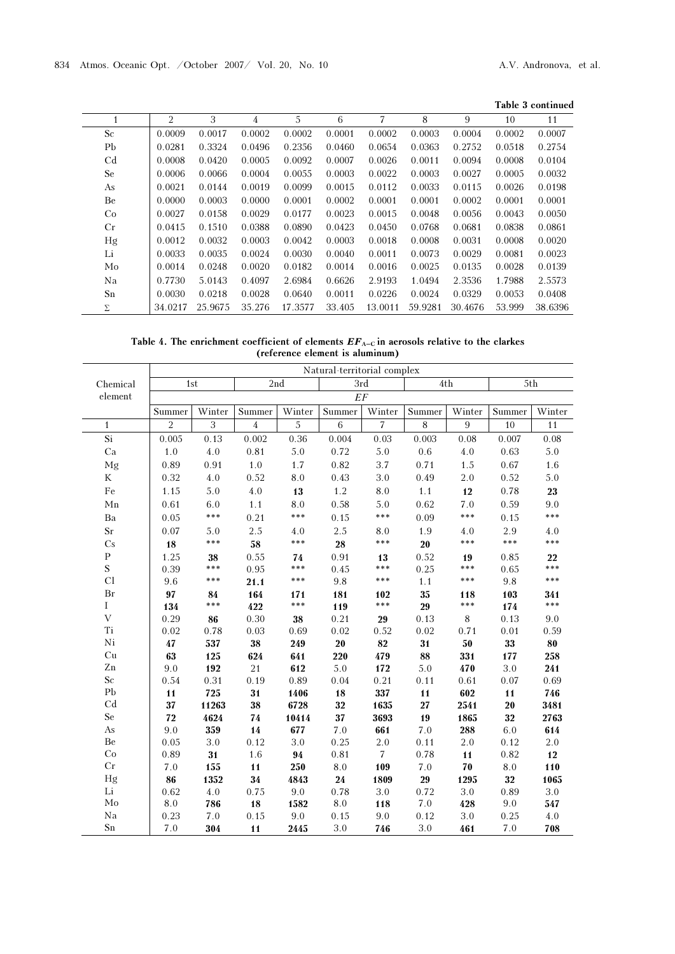| Table 3 continued |  |
|-------------------|--|
|-------------------|--|

|                | 2       | 3       | 4      | 5       | 6      | 7       | 8       | 9       | 10     | 11      |
|----------------|---------|---------|--------|---------|--------|---------|---------|---------|--------|---------|
| <sub>Sc</sub>  | 0.0009  | 0.0017  | 0.0002 | 0.0002  | 0.0001 | 0.0002  | 0.0003  | 0.0004  | 0.0002 | 0.0007  |
| Pb             | 0.0281  | 0.3324  | 0.0496 | 0.2356  | 0.0460 | 0.0654  | 0.0363  | 0.2752  | 0.0518 | 0.2754  |
| C <sub>d</sub> | 0.0008  | 0.0420  | 0.0005 | 0.0092  | 0.0007 | 0.0026  | 0.0011  | 0.0094  | 0.0008 | 0.0104  |
| Se             | 0.0006  | 0.0066  | 0.0004 | 0.0055  | 0.0003 | 0.0022  | 0.0003  | 0.0027  | 0.0005 | 0.0032  |
| As             | 0.0021  | 0.0144  | 0.0019 | 0.0099  | 0.0015 | 0.0112  | 0.0033  | 0.0115  | 0.0026 | 0.0198  |
| Be             | 0.0000  | 0.0003  | 0.0000 | 0.0001  | 0.0002 | 0.0001  | 0.0001  | 0.0002  | 0.0001 | 0.0001  |
| Co             | 0.0027  | 0.0158  | 0.0029 | 0.0177  | 0.0023 | 0.0015  | 0.0048  | 0.0056  | 0.0043 | 0.0050  |
| Cr             | 0.0415  | 0.1510  | 0.0388 | 0.0890  | 0.0423 | 0.0450  | 0.0768  | 0.0681  | 0.0838 | 0.0861  |
| Hg             | 0.0012  | 0.0032  | 0.0003 | 0.0042  | 0.0003 | 0.0018  | 0.0008  | 0.0031  | 0.0008 | 0.0020  |
| Li             | 0.0033  | 0.0035  | 0.0024 | 0.0030  | 0.0040 | 0.0011  | 0.0073  | 0.0029  | 0.0081 | 0.0023  |
| Mo             | 0.0014  | 0.0248  | 0.0020 | 0.0182  | 0.0014 | 0.0016  | 0.0025  | 0.0135  | 0.0028 | 0.0139  |
| Na             | 0.7730  | 5.0143  | 0.4097 | 2.6984  | 0.6626 | 2.9193  | 1.0494  | 2.3536  | 1.7988 | 2.5573  |
| Sn             | 0.0030  | 0.0218  | 0.0028 | 0.0640  | 0.0011 | 0.0226  | 0.0024  | 0.0329  | 0.0053 | 0.0408  |
| Σ              | 34.0217 | 25.9675 | 35.276 | 17.3577 | 33.405 | 13.0011 | 59.9281 | 30.4676 | 53.999 | 38.6396 |

Table 4. The enrichment coefficient of elements  $EF_{A-C}$  in aerosols relative to the clarkes (reference element is aluminum)

|                 | Natural-territorial complex |         |                |         |         |                |             |                |         |         |
|-----------------|-----------------------------|---------|----------------|---------|---------|----------------|-------------|----------------|---------|---------|
| Chemical        |                             | 1st     | 2nd            |         | 3rd     |                | 5th<br>4th  |                |         |         |
| element         |                             | EF      |                |         |         |                |             |                |         |         |
|                 | Summer                      | Winter  | Summer         | Winter  | Summer  | Winter         | Summer      | Winter         | Summer  | Winter  |
| $\mathbf{1}$    | $\overline{2}$              | 3       | $\overline{4}$ | 5       | 6       | $\overline{7}$ | $\,$ 8 $\,$ | $\overline{9}$ | 10      | 11      |
| $\overline{Si}$ | 0.005                       | 0.13    | 0.002          | 0.36    | 0.004   | 0.03           | 0.003       | 0.08           | 0.007   | 0.08    |
| Ca              | 1.0                         | $4.0\,$ | 0.81           | $5.0\,$ | 0.72    | $5.0\,$        | $0.6\,$     | $4.0\,$        | 0.63    | 5.0     |
| Mg              | 0.89                        | 0.91    | $1.0\,$        | 1.7     | 0.82    | 3.7            | 0.71        | 1.5            | 0.67    | 1.6     |
| ${\bf K}$       | 0.32                        | $4.0\,$ | 0.52           | $8.0\,$ | 0.43    | $3.0\,$        | 0.49        | $2.0\,$        | 0.52    | 5.0     |
| $\rm Fe$        | 1.15                        | 5.0     | 4.0            | 13      | $1.2\,$ | $8.0\,$        | $1.1$       | 12             | 0.78    | 23      |
| ${\rm Mn}$      | 0.61                        | 6.0     | $1.1$          | 8.0     | 0.58    | 5.0            | 0.62        | 7.0            | 0.59    | 9.0     |
| Ba              | 0.05                        | ***     | 0.21           | ***     | 0.15    | ***            | 0.09        | ***            | 0.15    | ***     |
| $\rm Sr$        | 0.07                        | 5.0     | 2.5            | 4.0     | 2.5     | $8.0\,$        | 1.9         | 4.0            | 2.9     | 4.0     |
| Cs              | 18                          | ***     | 58             | ***     | 28      | ***            | 20          | ***            | ***     | ***     |
| $\, {\bf P}$    | 1.25                        | 38      | 0.55           | 74      | 0.91    | 13             | 0.52        | 19             | 0.85    | 22      |
| S               | 0.39                        | ***     | 0.95           | ***     | 0.45    | ***            | 0.25        | ***            | 0.65    | ***     |
| Cl              | 9.6                         | ***     | 21.1           | ***     | 9.8     | ***            | $1.1$       | ***            | 9.8     | ***     |
| Br              | 97                          | 84      | 164            | 171     | 181     | 102            | 35          | 118            | 103     | 341     |
| Ι               | 134                         | ***     | 422            | ***     | 119     | ***            | 29          | ***            | 174     | ***     |
| $\bar{V}$       | 0.29                        | 86      | 0.30           | 38      | 0.21    | 29             | 0.13        | $\,8\,$        | 0.13    | 9.0     |
| Ti              | 0.02                        | 0.78    | 0.03           | 0.69    | 0.02    | 0.52           | 0.02        | 0.71           | 0.01    | 0.59    |
| Ni              | 47                          | 537     | 38             | 249     | 20      | 82             | 31          | 50             | 33      | 80      |
| Cu              | 63                          | 125     | 624            | 641     | 220     | 479            | 88          | 331            | 177     | 258     |
| Zn              | 9.0                         | 192     | 21             | 612     | 5.0     | 172            | 5.0         | 470            | 3.0     | 241     |
| $\rm Sc$        | 0.54                        | 0.31    | 0.19           | 0.89    | 0.04    | 0.21           | 0.11        | 0.61           | 0.07    | 0.69    |
| P <sub>b</sub>  | 11                          | 725     | 31             | 1406    | 18      | 337            | 11          | 602            | 11      | 746     |
| Cd              | 37                          | 11263   | 38             | 6728    | 32      | 1635           | $\bf{27}$   | 2541           | $20\,$  | 3481    |
| Se              | 72                          | 4624    | 74             | 10414   | 37      | 3693           | 19          | 1865           | 32      | 2763    |
| As              | 9.0                         | 359     | 14             | 677     | $7.0\,$ | 661            | 7.0         | 288            | 6.0     | 614     |
| Be              | 0.05                        | 3.0     | 0.12           | $3.0\,$ | 0.25    | 2.0            | 0.11        | $2.0\,$        | 0.12    | 2.0     |
| Co              | 0.89                        | 31      | 1.6            | 94      | 0.81    | $\overline{7}$ | 0.78        | 11             | 0.82    | 12      |
| Cr              | 7.0                         | 155     | 11             | 250     | 8.0     | 109            | 7.0         | 70             | 8.0     | 110     |
| Hg              | 86                          | 1352    | 34             | 4843    | 24      | 1809           | 29          | 1295           | 32      | 1065    |
| Li              | 0.62                        | 4.0     | 0.75           | 9.0     | 0.78    | 3.0            | 0.72        | 3.0            | 0.89    | $3.0\,$ |
| Mo              | 8.0                         | 786     | 18             | 1582    | 8.0     | 118            | $7.0\,$     | 428            | $9.0\,$ | 547     |
| Na<br>Sn        | 0.23                        | 7.0     | 0.15           | 9.0     | 0.15    | 9.0            | 0.12        | 3.0            | 0.25    | 4.0     |
|                 | 7.0                         | 304     | 11             | 2445    | $3.0\,$ | 746            | 3.0         | 461            | 7.0     | 708     |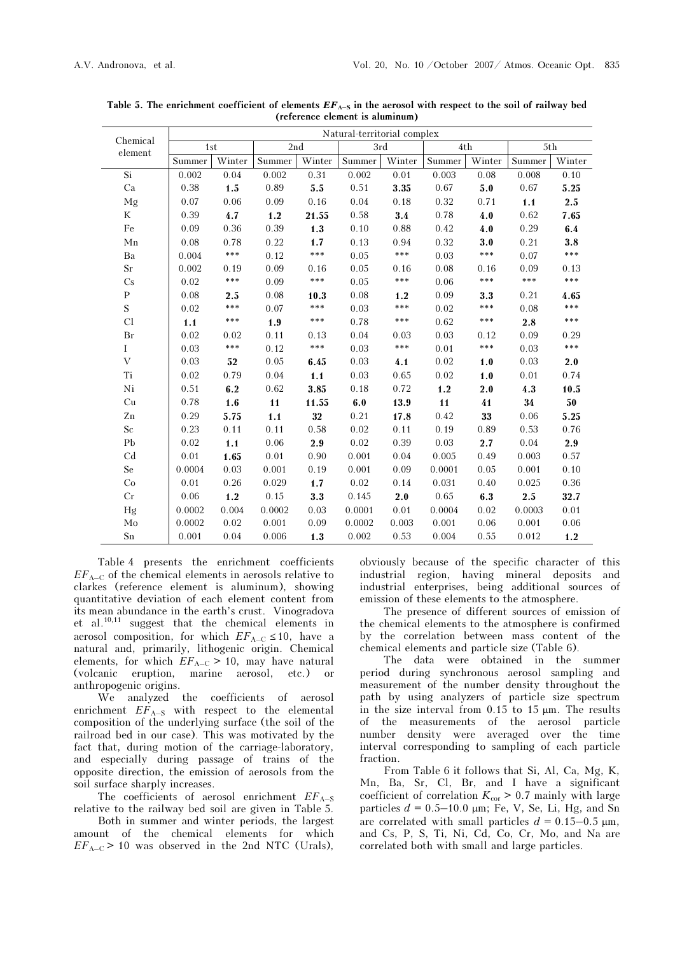|                     | Natural-territorial complex |        |        |        |        |        |        |        |        |        |
|---------------------|-----------------------------|--------|--------|--------|--------|--------|--------|--------|--------|--------|
| Chemical<br>element | 1st                         |        | $2nd$  |        | 3rd    |        | 4th    |        | 5th    |        |
|                     | Summer                      | Winter | Summer | Winter | Summer | Winter | Summer | Winter | Summer | Winter |
| $\overline{Si}$     | 0.002                       | 0.04   | 0.002  | 0.31   | 0.002  | 0.01   | 0.003  | 0.08   | 0.008  | 0.10   |
| Ca                  | 0.38                        | 1.5    | 0.89   | 5.5    | 0.51   | 3.35   | 0.67   | 5.0    | 0.67   | 5.25   |
| Mg                  | 0.07                        | 0.06   | 0.09   | 0.16   | 0.04   | 0.18   | 0.32   | 0.71   | 1.1    | 2.5    |
| K                   | 0.39                        | 4.7    | 1.2    | 21.55  | 0.58   | 3.4    | 0.78   | 4.0    | 0.62   | 7.65   |
| Fe                  | 0.09                        | 0.36   | 0.39   | 1.3    | 0.10   | 0.88   | 0.42   | 4.0    | 0.29   | 6.4    |
| ${\rm Mn}$          | 0.08                        | 0.78   | 0.22   | 1.7    | 0.13   | 0.94   | 0.32   | 3.0    | 0.21   | 3.8    |
| Ba                  | 0.004                       | ***    | 0.12   | ***    | 0.05   | ***    | 0.03   | $***$  | 0.07   | ***    |
| Sr                  | 0.002                       | 0.19   | 0.09   | 0.16   | 0.05   | 0.16   | 0.08   | 0.16   | 0.09   | 0.13   |
| Cs                  | 0.02                        | ***    | 0.09   | ***    | 0.05   | ***    | 0.06   | ***    | $***$  | ***    |
| ${\bf P}$           | 0.08                        | 2.5    | 0.08   | 10.3   | 0.08   | 1.2    | 0.09   | 3.3    | 0.21   | 4.65   |
| S                   | 0.02                        | ***    | 0.07   | $***$  | 0.03   | ***    | 0.02   | $***$  | 0.08   | ***    |
| Cl                  | 1.1                         | ***    | 1.9    | ***    | 0.78   | $***$  | 0.62   | $***$  | 2.8    | ***    |
| Br                  | 0.02                        | 0.02   | 0.11   | 0.13   | 0.04   | 0.03   | 0.03   | 0.12   | 0.09   | 0.29   |
| $\rm I$             | 0.03                        | ***    | 0.12   | ***    | 0.03   | ***    | 0.01   | $***$  | 0.03   | ***    |
| V                   | 0.03                        | 52     | 0.05   | 6.45   | 0.03   | 4.1    | 0.02   | 1.0    | 0.03   | 2.0    |
| Ti                  | 0.02                        | 0.79   | 0.04   | 1.1    | 0.03   | 0.65   | 0.02   | 1.0    | 0.01   | 0.74   |
| Ni                  | 0.51                        | 6.2    | 0.62   | 3.85   | 0.18   | 0.72   | 1.2    | 2.0    | 4.3    | 10.5   |
| Cu                  | 0.78                        | 1.6    | 11     | 11.55  | 6.0    | 13.9   | 11     | 41     | 34     | 50     |
| Zn                  | 0.29                        | 5.75   | 1.1    | $32\,$ | 0.21   | 17.8   | 0.42   | 33     | 0.06   | 5.25   |
| Sc                  | 0.23                        | 0.11   | 0.11   | 0.58   | 0.02   | 0.11   | 0.19   | 0.89   | 0.53   | 0.76   |
| Pb                  | 0.02                        | 1.1    | 0.06   | 2.9    | 0.02   | 0.39   | 0.03   | 2.7    | 0.04   | 2.9    |
| C <sub>d</sub>      | 0.01                        | 1.65   | 0.01   | 0.90   | 0.001  | 0.04   | 0.005  | 0.49   | 0.003  | 0.57   |
| Se                  | 0.0004                      | 0.03   | 0.001  | 0.19   | 0.001  | 0.09   | 0.0001 | 0.05   | 0.001  | 0.10   |
| Co                  | 0.01                        | 0.26   | 0.029  | 1.7    | 0.02   | 0.14   | 0.031  | 0.40   | 0.025  | 0.36   |
| Cr                  | 0.06                        | 1.2    | 0.15   | 3.3    | 0.145  | 2.0    | 0.65   | 6.3    | 2.5    | 32.7   |
| Hg                  | 0.0002                      | 0.004  | 0.0002 | 0.03   | 0.0001 | 0.01   | 0.0004 | 0.02   | 0.0003 | 0.01   |
| $\rm Mo$            | 0.0002                      | 0.02   | 0.001  | 0.09   | 0.0002 | 0.003  | 0.001  | 0.06   | 0.001  | 0.06   |
| Sn                  | 0.001                       | 0.04   | 0.006  | 1.3    | 0.002  | 0.53   | 0.004  | 0.55   | 0.012  | 1.2    |

Table 5. The enrichment coefficient of elements  $EF_{A-S}$  in the aerosol with respect to the soil of railway bed (reference element is aluminum)

Table 4 presents the enrichment coefficients  $EF_{A-C}$  of the chemical elements in aerosols relative to clarkes (reference element is aluminum), showing quantitative deviation of each element content from its mean abundance in the earth's crust. Vinogradova et al.<sup>10,11</sup> suggest that the chemical elements in aerosol composition, for which  $EF_{A-C} \le 10$ , have a natural and, primarily, lithogenic origin. Chemical elements, for which  $EF_{A-C} > 10$ , may have natural (volcanic eruption, marine aerosol, etc.) or anthropogenic origins.

We analyzed the coefficients of aerosol enrichment  $E\vec{F}_{A-S}$  with respect to the elemental composition of the underlying surface (the soil of the railroad bed in our case). This was motivated by the fact that, during motion of the carriage-laboratory, and especially during passage of trains of the opposite direction, the emission of aerosols from the soil surface sharply increases.

The coefficients of aerosol enrichment  $EF_{A-S}$ relative to the railway bed soil are given in Table 5.

Both in summer and winter periods, the largest amount of the chemical elements for which  $EF_{A-C}$  > 10 was observed in the 2nd NTC (Urals),

obviously because of the specific character of this industrial region, having mineral deposits and industrial enterprises, being additional sources of emission of these elements to the atmosphere.

The presence of different sources of emission of the chemical elements to the atmosphere is confirmed by the correlation between mass content of the chemical elements and particle size (Table 6).

The data were obtained in the summer period during synchronous aerosol sampling and measurement of the number density throughout the path by using analyzers of particle size spectrum in the size interval from  $0.15$  to  $15 \mu m$ . The results of the measurements of the aerosol particle number density were averaged over the time interval corresponding to sampling of each particle fraction.

From Table 6 it follows that Si, Al, Ca, Mg, K, Mn, Ba, Sr, Cl, Br, and I have a significant coefficient of correlation  $K_{\text{cor}} > 0.7$  mainly with large particles  $d = 0.5-10.0$  µm; Fe, V, Se, Li, Hg, and Sn are correlated with small particles  $d = 0.15-0.5 \text{ }\mu\text{m}$ , and Cs, P, S, Ti, Ni, Cd, Co, Cr, Mo, and Na are correlated both with small and large particles.